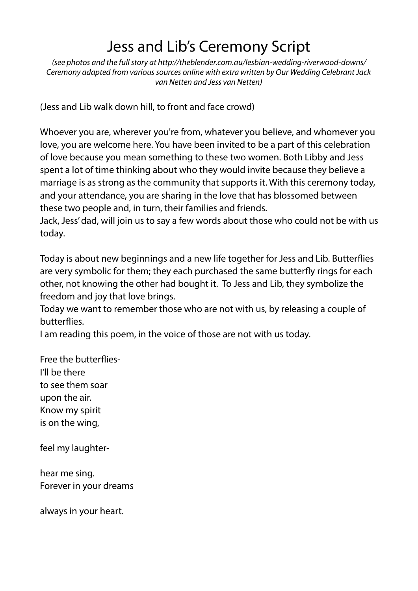# Jess and Lib's Ceremony Script

*(see photos and the full story at [http://theblender.com.au/lesbian-wedding-riverwood-downs/](http://theblender.com.au/?p=2916&preview=true)  Ceremony adapted from various sources online with extra written by Our Wedding Celebrant Jack van Netten and Jess van Netten)* 

(Jess and Lib walk down hill, to front and face crowd)

Whoever you are, wherever you're from, whatever you believe, and whomever you love, you are welcome here. You have been invited to be a part of this celebration of love because you mean something to these two women. Both Libby and Jess spent a lot of time thinking about who they would invite because they believe a marriage is as strong as the community that supports it. With this ceremony today, and your attendance, you are sharing in the love that has blossomed between these two people and, in turn, their families and friends.

Jack, Jess' dad, will join us to say a few words about those who could not be with us today.

Today is about new beginnings and a new life together for Jess and Lib. Butterfies are very symbolic for them; they each purchased the same butterfy rings for each other, not knowing the other had bought it. To Jess and Lib, they symbolize the freedom and joy that love brings.

Today we want to remember those who are not with us, by releasing a couple of butterfies.

I am reading this poem, in the voice of those are not with us today.

Free the butterfies-I'll be there to see them soar upon the air. Know my spirit is on the wing,

feel my laughter-

hear me sing. Forever in your dreams

always in your heart.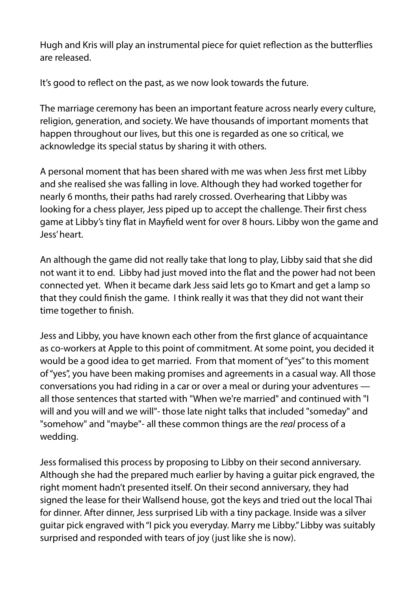Hugh and Kris will play an instrumental piece for quiet refection as the butterfies are released.

It's good to reflect on the past, as we now look towards the future.

The marriage ceremony has been an important feature across nearly every culture, religion, generation, and society. We have thousands of important moments that happen throughout our lives, but this one is regarded as one so critical, we acknowledge its special status by sharing it with others.

A personal moment that has been shared with me was when Jess frst met Libby and she realised she was falling in love. Although they had worked together for nearly 6 months, their paths had rarely crossed. Overhearing that Libby was looking for a chess player, Jess piped up to accept the challenge. Their frst chess game at Libby's tiny fat in Mayfeld went for over 8 hours. Libby won the game and Jess' heart.

An although the game did not really take that long to play, Libby said that she did not want it to end. Libby had just moved into the fat and the power had not been connected yet. When it became dark Jess said lets go to Kmart and get a lamp so that they could fnish the game. I think really it was that they did not want their time together to fnish.

Jess and Libby, you have known each other from the frst glance of acquaintance as co-workers at Apple to this point of commitment. At some point, you decided it would be a good idea to get married. From that moment of "yes" to this moment of "yes", you have been making promises and agreements in a casual way. All those conversations you had riding in a car or over a meal or during your adventures all those sentences that started with "When we're married" and continued with "I will and you will and we will"- those late night talks that included "someday" and "somehow" and "maybe"- all these common things are the *real* process of a wedding.

Jess formalised this process by proposing to Libby on their second anniversary. Although she had the prepared much earlier by having a guitar pick engraved, the right moment hadn't presented itself. On their second anniversary, they had signed the lease for their Wallsend house, got the keys and tried out the local Thai for dinner. After dinner, Jess surprised Lib with a tiny package. Inside was a silver guitar pick engraved with "I pick you everyday. Marry me Libby." Libby was suitably surprised and responded with tears of joy (just like she is now).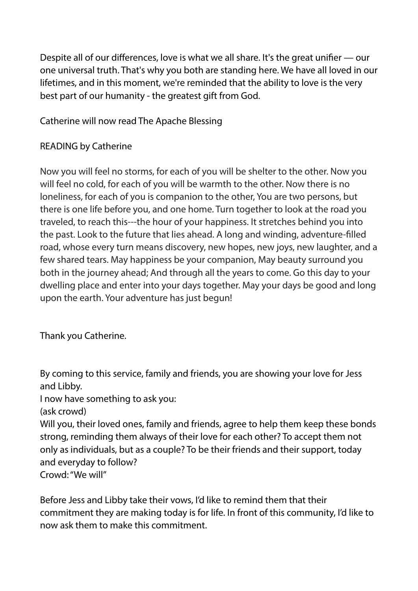Despite all of our differences, love is what we all share. It's the great unifer — our one universal truth. That's why you both are standing here. We have all loved in our lifetimes, and in this moment, we're reminded that the ability to love is the very best part of our humanity - the greatest gift from God.

Catherine will now read The Apache Blessing

## READING by Catherine

Now you will feel no storms, for each of you will be shelter to the other. Now you will feel no cold, for each of you will be warmth to the other. Now there is no loneliness, for each of you is companion to the other, You are two persons, but there is one life before you, and one home. Turn together to look at the road you traveled, to reach this---the hour of your happiness. It stretches behind you into the past. Look to the future that lies ahead. A long and winding, adventure-flled road, whose every turn means discovery, new hopes, new joys, new laughter, and a few shared tears. May happiness be your companion, May beauty surround you both in the journey ahead; And through all the years to come. Go this day to your dwelling place and enter into your days together. May your days be good and long upon the earth. Your adventure has just begun!

Thank you Catherine.

By coming to this service, family and friends, you are showing your love for Jess and Libby.

I now have something to ask you:

(ask crowd)

Will you, their loved ones, family and friends, agree to help them keep these bonds strong, reminding them always of their love for each other? To accept them not only as individuals, but as a couple? To be their friends and their support, today and everyday to follow? Crowd: "We will"

Before Jess and Libby take their vows, I'd like to remind them that their commitment they are making today is for life. In front of this community, I'd like to now ask them to make this commitment.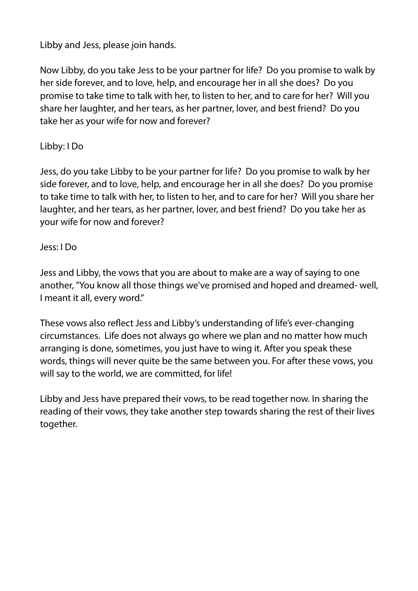# Libby and Jess, please join hands.

Now Libby, do you take Jess to be your partner for life? Do you promise to walk by her side forever, and to love, help, and encourage her in all she does? Do you promise to take time to talk with her, to listen to her, and to care for her? Will you share her laughter, and her tears, as her partner, lover, and best friend? Do you take her as your wife for now and forever?

### Libby: I Do

Jess, do you take Libby to be your partner for life? Do you promise to walk by her side forever, and to love, help, and encourage her in all she does? Do you promise to take time to talk with her, to listen to her, and to care for her? Will you share her laughter, and her tears, as her partner, lover, and best friend? Do you take her as your wife for now and forever?

#### Jess: I Do

Jess and Libby, the vows that you are about to make are a way of saying to one another, "You know all those things we've promised and hoped and dreamed- well, I meant it all, every word."

These vows also refect Jess and Libby's understanding of life's ever-changing circumstances. Life does not always go where we plan and no matter how much arranging is done, sometimes, you just have to wing it. After you speak these words, things will never quite be the same between you. For after these vows, you will say to the world, we are committed, for life!

Libby and Jess have prepared their vows, to be read together now. In sharing the reading of their vows, they take another step towards sharing the rest of their lives together.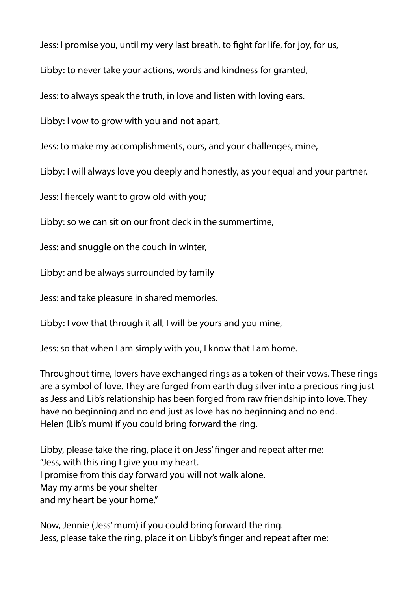Jess: I promise you, until my very last breath, to fght for life, for joy, for us,

Libby: to never take your actions, words and kindness for granted,

Jess: to always speak the truth, in love and listen with loving ears.

Libby: I vow to grow with you and not apart,

Jess: to make my accomplishments, ours, and your challenges, mine,

Libby: I will always love you deeply and honestly, as your equal and your partner.

Jess: I fercely want to grow old with you;

Libby: so we can sit on our front deck in the summertime,

Jess: and snuggle on the couch in winter,

Libby: and be always surrounded by family

Jess: and take pleasure in shared memories.

Libby: I vow that through it all, I will be yours and you mine,

Jess: so that when I am simply with you, I know that I am home.

Throughout time, lovers have exchanged rings as a token of their vows. These rings are a symbol of love. They are forged from earth dug silver into a precious ring just as Jess and Lib's relationship has been forged from raw friendship into love. They have no beginning and no end just as love has no beginning and no end. Helen (Lib's mum) if you could bring forward the ring.

Libby, please take the ring, place it on Jess' fnger and repeat after me: "Jess, with this ring I give you my heart. I promise from this day forward you will not walk alone. May my arms be your shelter and my heart be your home."

Now, Jennie (Jess' mum) if you could bring forward the ring. Jess, please take the ring, place it on Libby's fnger and repeat after me: